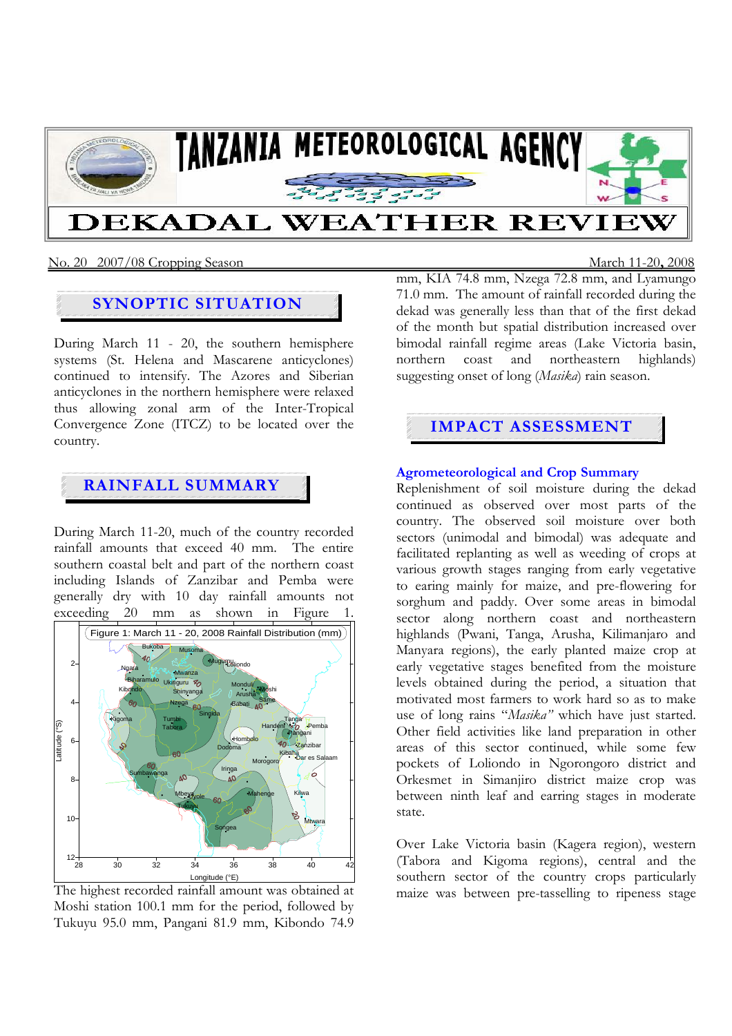

### No. 20 2007/08 Cropping Season March 11-20**,** 2008

## **SYNOPTIC SITUATION**

During March 11 - 20, the southern hemisphere systems (St. Helena and Mascarene anticyclones) continued to intensify. The Azores and Siberian anticyclones in the northern hemisphere were relaxed thus allowing zonal arm of the Inter-Tropical Convergence Zone (ITCZ) to be located over the country.

## **RAINFALL SUMMARY**

During March 11-20, much of the country recorded rainfall amounts that exceed 40 mm. The entire southern coastal belt and part of the northern coast including Islands of Zanzibar and Pemba were generally dry with 10 day rainfall amounts not exceeding 20 mm as shown in Figure 1.



The highest recorded rainfall amount was obtained at Moshi station 100.1 mm for the period, followed by Tukuyu 95.0 mm, Pangani 81.9 mm, Kibondo 74.9

mm, KIA 74.8 mm, Nzega 72.8 mm, and Lyamungo 71.0 mm. The amount of rainfall recorded during the dekad was generally less than that of the first dekad of the month but spatial distribution increased over bimodal rainfall regime areas (Lake Victoria basin, northern coast and northeastern highlands) suggesting onset of long (*Masika*) rain season.

# **IMPACT ASSESSMENT**

#### **Agrometeorological and Crop Summary**

Replenishment of soil moisture during the dekad continued as observed over most parts of the country. The observed soil moisture over both sectors (unimodal and bimodal) was adequate and facilitated replanting as well as weeding of crops at various growth stages ranging from early vegetative to earing mainly for maize, and pre-flowering for sorghum and paddy. Over some areas in bimodal sector along northern coast and northeastern highlands (Pwani, Tanga, Arusha, Kilimanjaro and Manyara regions), the early planted maize crop at early vegetative stages benefited from the moisture levels obtained during the period, a situation that motivated most farmers to work hard so as to make use of long rains "*Masika"* which have just started. Other field activities like land preparation in other areas of this sector continued, while some few pockets of Loliondo in Ngorongoro district and Orkesmet in Simanjiro district maize crop was between ninth leaf and earring stages in moderate state.

Over Lake Victoria basin (Kagera region), western (Tabora and Kigoma regions), central and the southern sector of the country crops particularly maize was between pre-tasselling to ripeness stage